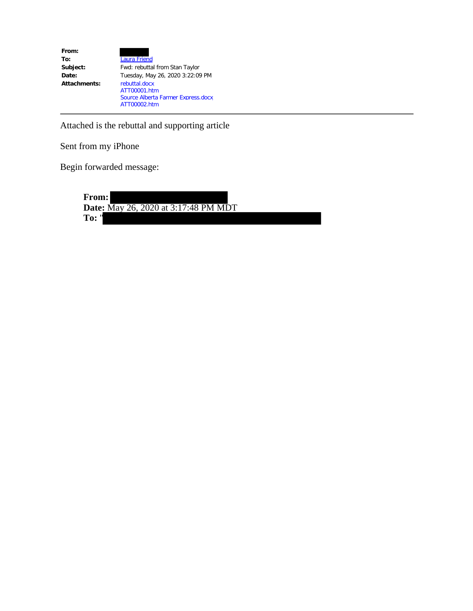| From:        |                                    |
|--------------|------------------------------------|
| To:          | <b>Laura Friend</b>                |
| Subject:     | Fwd: rebuttal from Stan Taylor     |
| Date:        | Tuesday, May 26, 2020 3:22:09 PM   |
| Attachments: | rebuttal.docx                      |
|              | ATT00001.htm                       |
|              | Source Alberta Farmer Express.docx |
|              | ATT00002.htm                       |

Attached is the rebuttal and supporting article

Sent from my iPhone

Begin forwarded message:

**From: Date:** May 26, 2020 at 3:17:48 PM MDT **To:** "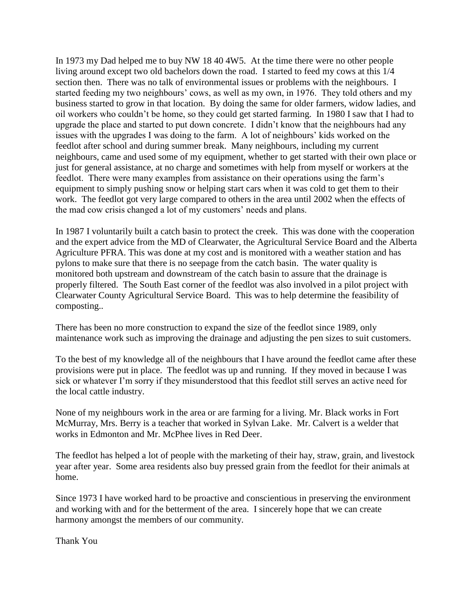In 1973 my Dad helped me to buy NW 18 40 4W5. At the time there were no other people living around except two old bachelors down the road. I started to feed my cows at this 1/4 section then. There was no talk of environmental issues or problems with the neighbours. I started feeding my two neighbours' cows, as well as my own, in 1976. They told others and my business started to grow in that location. By doing the same for older farmers, widow ladies, and oil workers who couldn't be home, so they could get started farming. In 1980 I saw that I had to upgrade the place and started to put down concrete. I didn't know that the neighbours had any issues with the upgrades I was doing to the farm. A lot of neighbours' kids worked on the feedlot after school and during summer break. Many neighbours, including my current neighbours, came and used some of my equipment, whether to get started with their own place or just for general assistance, at no charge and sometimes with help from myself or workers at the feedlot. There were many examples from assistance on their operations using the farm's equipment to simply pushing snow or helping start cars when it was cold to get them to their work. The feedlot got very large compared to others in the area until 2002 when the effects of the mad cow crisis changed a lot of my customers' needs and plans.

In 1987 I voluntarily built a catch basin to protect the creek. This was done with the cooperation and the expert advice from the MD of Clearwater, the Agricultural Service Board and the Alberta Agriculture PFRA. This was done at my cost and is monitored with a weather station and has pylons to make sure that there is no seepage from the catch basin. The water quality is monitored both upstream and downstream of the catch basin to assure that the drainage is properly filtered. The South East corner of the feedlot was also involved in a pilot project with Clearwater County Agricultural Service Board. This was to help determine the feasibility of composting..

There has been no more construction to expand the size of the feedlot since 1989, only maintenance work such as improving the drainage and adjusting the pen sizes to suit customers.

To the best of my knowledge all of the neighbours that I have around the feedlot came after these provisions were put in place. The feedlot was up and running. If they moved in because I was sick or whatever I'm sorry if they misunderstood that this feedlot still serves an active need for the local cattle industry.

None of my neighbours work in the area or are farming for a living. Mr. Black works in Fort McMurray, Mrs. Berry is a teacher that worked in Sylvan Lake. Mr. Calvert is a welder that works in Edmonton and Mr. McPhee lives in Red Deer.

The feedlot has helped a lot of people with the marketing of their hay, straw, grain, and livestock year after year. Some area residents also buy pressed grain from the feedlot for their animals at home.

Since 1973 I have worked hard to be proactive and conscientious in preserving the environment and working with and for the betterment of the area. I sincerely hope that we can create harmony amongst the members of our community.

Thank You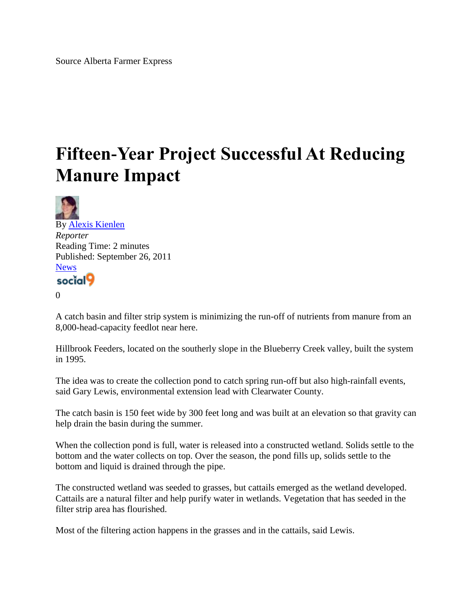## **Fifteen-Year Project Successful At Reducing Manure Impact**



 $\Omega$ 

A catch basin and filter strip system is minimizing the run-off of nutrients from manure from an 8,000-head-capacity feedlot near here.

Hillbrook Feeders, located on the southerly slope in the Blueberry Creek valley, built the system in 1995.

The idea was to create the collection pond to catch spring run-off but also high-rainfall events, said Gary Lewis, environmental extension lead with Clearwater County.

The catch basin is 150 feet wide by 300 feet long and was built at an elevation so that gravity can help drain the basin during the summer.

When the collection pond is full, water is released into a constructed wetland. Solids settle to the bottom and the water collects on top. Over the season, the pond fills up, solids settle to the bottom and liquid is drained through the pipe.

The constructed wetland was seeded to grasses, but cattails emerged as the wetland developed. Cattails are a natural filter and help purify water in wetlands. Vegetation that has seeded in the filter strip area has flourished.

Most of the filtering action happens in the grasses and in the cattails, said Lewis.